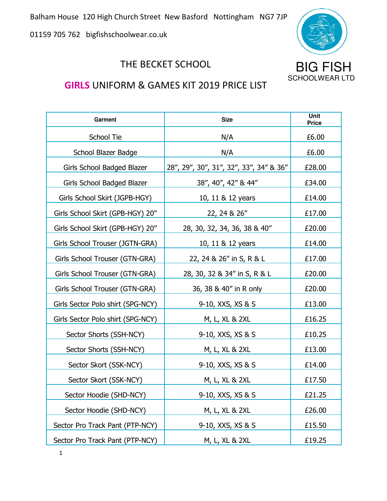Balham House 120 High Church Street New Basford Nottingham NG7 7JP

01159 705 762 bigfishschoolwear.co.uk



## THE BECKET SCHOOL **BIG FISH**

## **GIRLS** UNIFORM & GAMES KIT 2019 PRICE LIST

| Garment                           | <b>Size</b>                             | <b>Unit</b><br><b>Price</b> |
|-----------------------------------|-----------------------------------------|-----------------------------|
| School Tie                        | N/A                                     | £6.00                       |
| School Blazer Badge               | N/A                                     | £6.00                       |
| Girls School Badged Blazer        | 28", 29", 30", 31", 32", 33", 34" & 36" | £28.00                      |
| Girls School Badged Blazer        | 38", 40", 42" & 44"                     | £34.00                      |
| Girls School Skirt (JGPB-HGY)     | 10, 11 & 12 years                       | £14.00                      |
| Girls School Skirt (GPB-HGY) 20"  | 22, 24 & 26"                            | £17.00                      |
| Girls School Skirt (GPB-HGY) 20"  | 28, 30, 32, 34, 36, 38 & 40"            | £20.00                      |
| Girls School Trouser (JGTN-GRA)   | 10, 11 & 12 years                       | £14.00                      |
| Girls School Trouser (GTN-GRA)    | 22, 24 & 26" in S, R & L                | £17.00                      |
| Girls School Trouser (GTN-GRA)    | 28, 30, 32 & 34" in S, R & L            | £20.00                      |
| Girls School Trouser (GTN-GRA)    | 36, 38 & 40" in R only                  | £20.00                      |
| Girls Sector Polo shirt (SPG-NCY) | 9-10, XXS, XS & S                       | £13.00                      |
| Girls Sector Polo shirt (SPG-NCY) | M, L, XL & 2XL                          | £16.25                      |
| Sector Shorts (SSH-NCY)           | 9-10, XXS, XS & S                       | £10.25                      |
| Sector Shorts (SSH-NCY)           | M, L, XL & 2XL                          | £13.00                      |
| Sector Skort (SSK-NCY)            | 9-10, XXS, XS & S                       | £14.00                      |
| Sector Skort (SSK-NCY)            | M, L, XL & 2XL                          | £17.50                      |
| Sector Hoodie (SHD-NCY)           | 9-10, XXS, XS & S                       | £21.25                      |
| Sector Hoodie (SHD-NCY)           | M, L, XL & 2XL                          | £26.00                      |
| Sector Pro Track Pant (PTP-NCY)   | 9-10, XXS, XS & S                       | £15.50                      |
| Sector Pro Track Pant (PTP-NCY)   | M, L, XL & 2XL                          | £19.25                      |